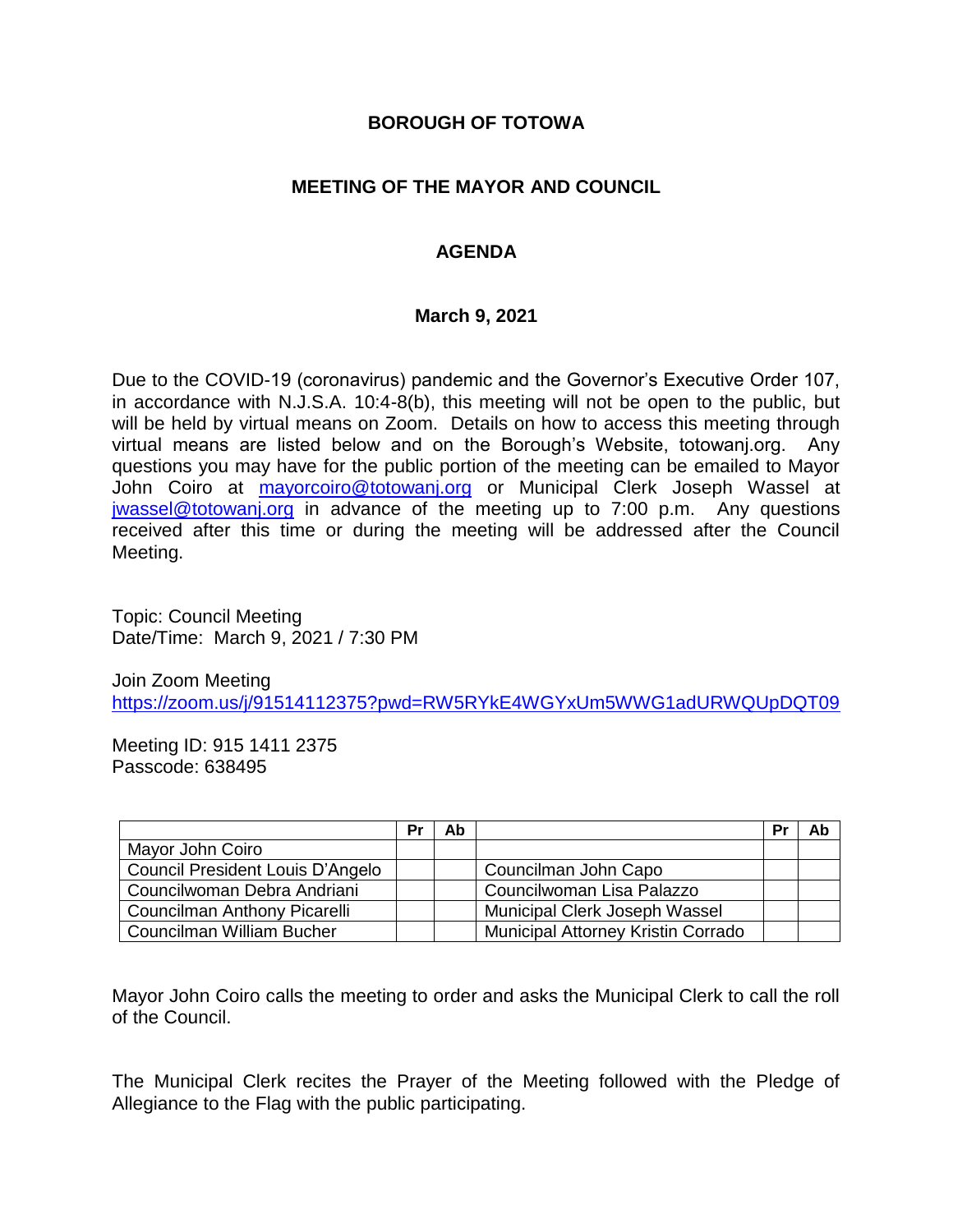#### **BOROUGH OF TOTOWA**

## **MEETING OF THE MAYOR AND COUNCIL**

## **AGENDA**

#### **March 9, 2021**

Due to the COVID-19 (coronavirus) pandemic and the Governor's Executive Order 107, in accordance with N.J.S.A. 10:4-8(b), this meeting will not be open to the public, but will be held by virtual means on Zoom. Details on how to access this meeting through virtual means are listed below and on the Borough's Website, totowanj.org. Any questions you may have for the public portion of the meeting can be emailed to Mayor John Coiro at [mayorcoiro@totowanj.org](mailto:mayorcoiro@totowanj.org) or Municipal Clerk Joseph Wassel at [jwassel@totowanj.org](mailto:jwassel@totowanj.org) in advance of the meeting up to 7:00 p.m. Any questions received after this time or during the meeting will be addressed after the Council Meeting.

Topic: Council Meeting Date/Time: March 9, 2021 / 7:30 PM

Join Zoom Meeting <https://zoom.us/j/91514112375?pwd=RW5RYkE4WGYxUm5WWG1adURWQUpDQT09>

Meeting ID: 915 1411 2375 Passcode: 638495

|                                  | Pr | Ab |                                           | Pr | Ab |
|----------------------------------|----|----|-------------------------------------------|----|----|
| Mayor John Coiro                 |    |    |                                           |    |    |
| Council President Louis D'Angelo |    |    | Councilman John Capo                      |    |    |
| Councilwoman Debra Andriani      |    |    | Councilwoman Lisa Palazzo                 |    |    |
| Councilman Anthony Picarelli     |    |    | Municipal Clerk Joseph Wassel             |    |    |
| Councilman William Bucher        |    |    | <b>Municipal Attorney Kristin Corrado</b> |    |    |

Mayor John Coiro calls the meeting to order and asks the Municipal Clerk to call the roll of the Council.

The Municipal Clerk recites the Prayer of the Meeting followed with the Pledge of Allegiance to the Flag with the public participating.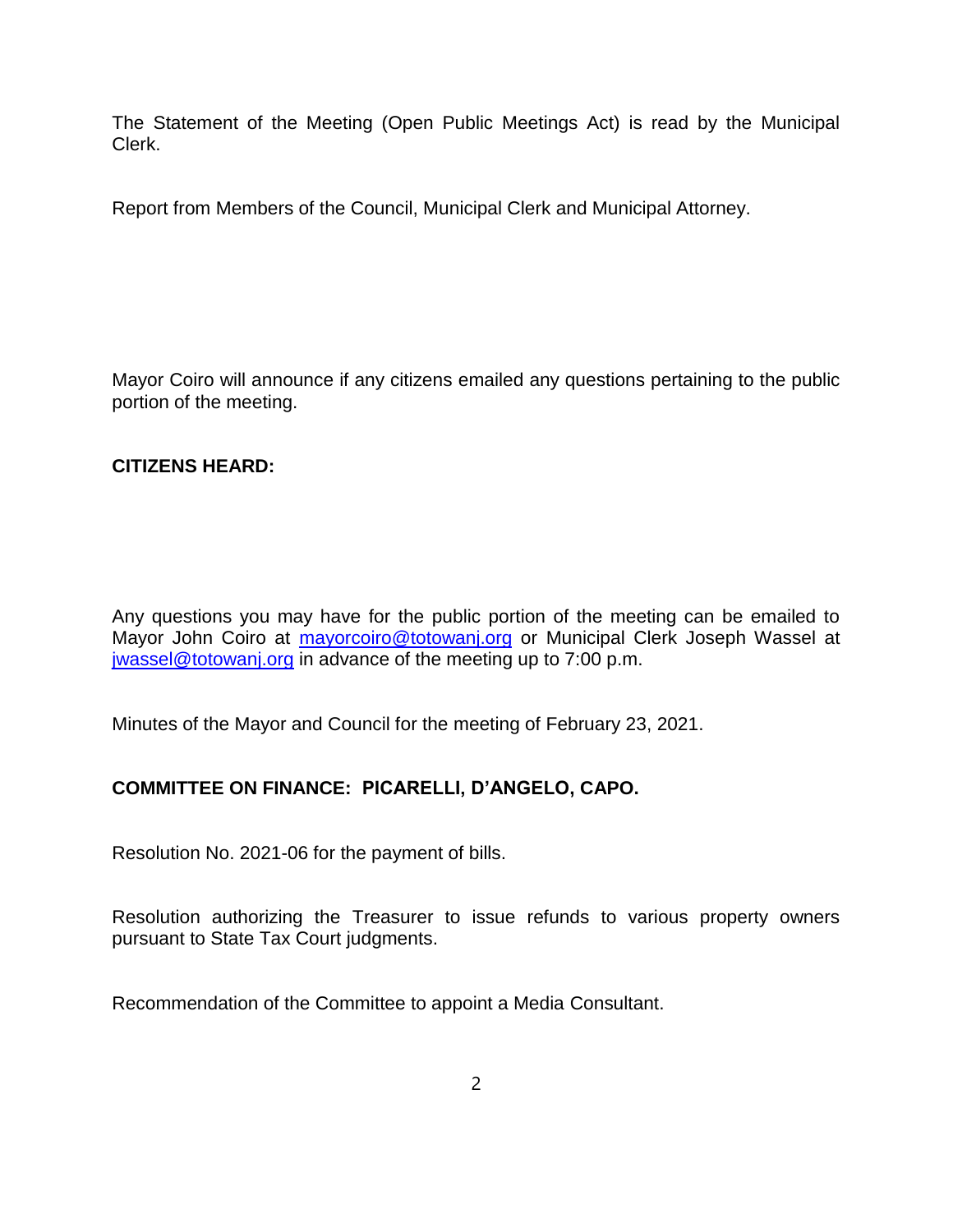The Statement of the Meeting (Open Public Meetings Act) is read by the Municipal Clerk.

Report from Members of the Council, Municipal Clerk and Municipal Attorney.

Mayor Coiro will announce if any citizens emailed any questions pertaining to the public portion of the meeting.

## **CITIZENS HEARD:**

Any questions you may have for the public portion of the meeting can be emailed to Mayor John Coiro at [mayorcoiro@totowanj.org](mailto:mayorcoiro@totowanj.org) or Municipal Clerk Joseph Wassel at [jwassel@totowanj.org](mailto:jwassel@totowanj.org) in advance of the meeting up to 7:00 p.m.

Minutes of the Mayor and Council for the meeting of February 23, 2021.

## **COMMITTEE ON FINANCE: PICARELLI, D'ANGELO, CAPO.**

Resolution No. 2021-06 for the payment of bills.

Resolution authorizing the Treasurer to issue refunds to various property owners pursuant to State Tax Court judgments.

Recommendation of the Committee to appoint a Media Consultant.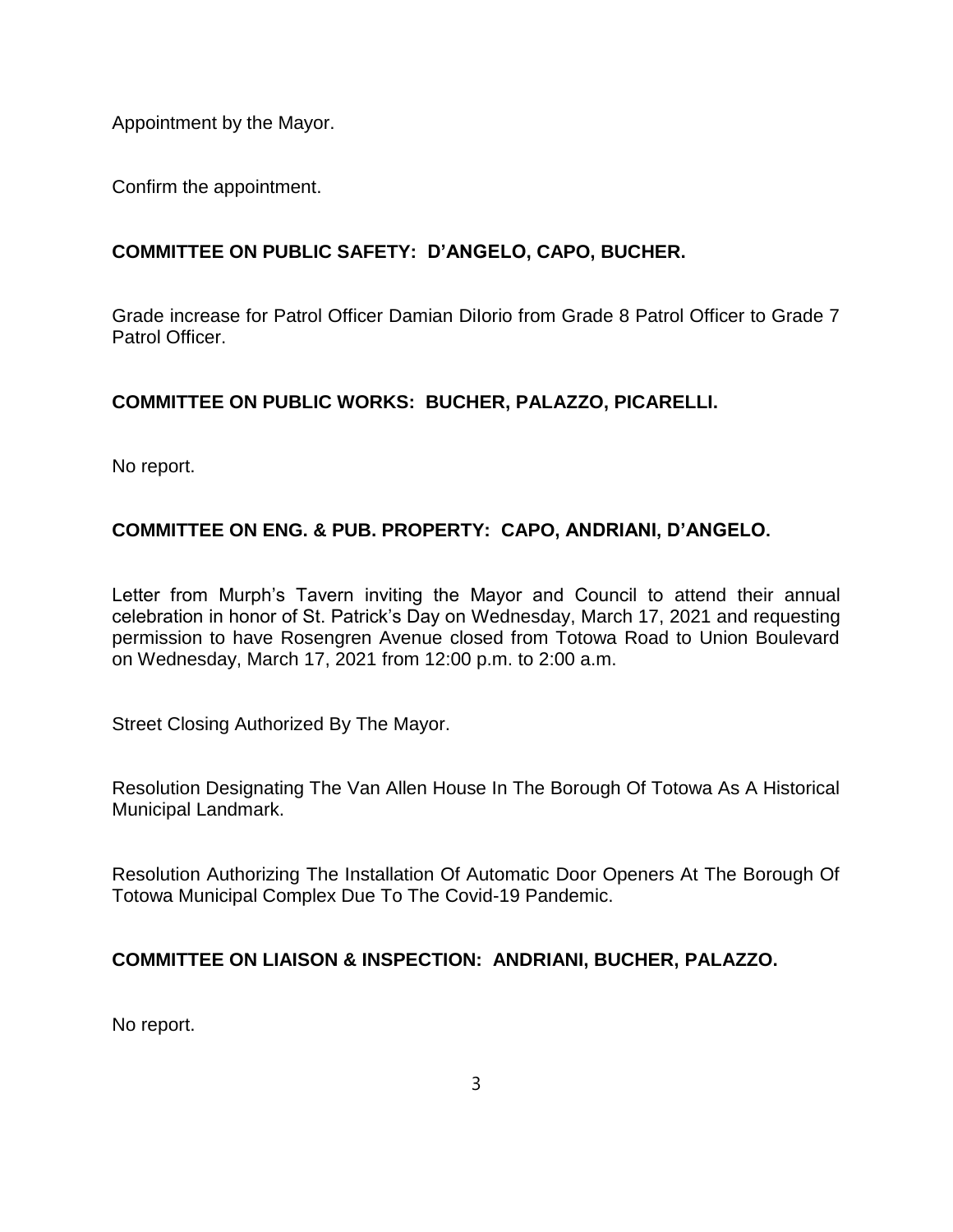Appointment by the Mayor.

Confirm the appointment.

# **COMMITTEE ON PUBLIC SAFETY: D'ANGELO, CAPO, BUCHER.**

Grade increase for Patrol Officer Damian DiIorio from Grade 8 Patrol Officer to Grade 7 Patrol Officer.

## **COMMITTEE ON PUBLIC WORKS: BUCHER, PALAZZO, PICARELLI.**

No report.

# **COMMITTEE ON ENG. & PUB. PROPERTY: CAPO, ANDRIANI, D'ANGELO.**

Letter from Murph's Tavern inviting the Mayor and Council to attend their annual celebration in honor of St. Patrick's Day on Wednesday, March 17, 2021 and requesting permission to have Rosengren Avenue closed from Totowa Road to Union Boulevard on Wednesday, March 17, 2021 from 12:00 p.m. to 2:00 a.m.

Street Closing Authorized By The Mayor.

Resolution Designating The Van Allen House In The Borough Of Totowa As A Historical Municipal Landmark.

Resolution Authorizing The Installation Of Automatic Door Openers At The Borough Of Totowa Municipal Complex Due To The Covid-19 Pandemic.

## **COMMITTEE ON LIAISON & INSPECTION: ANDRIANI, BUCHER, PALAZZO.**

No report.